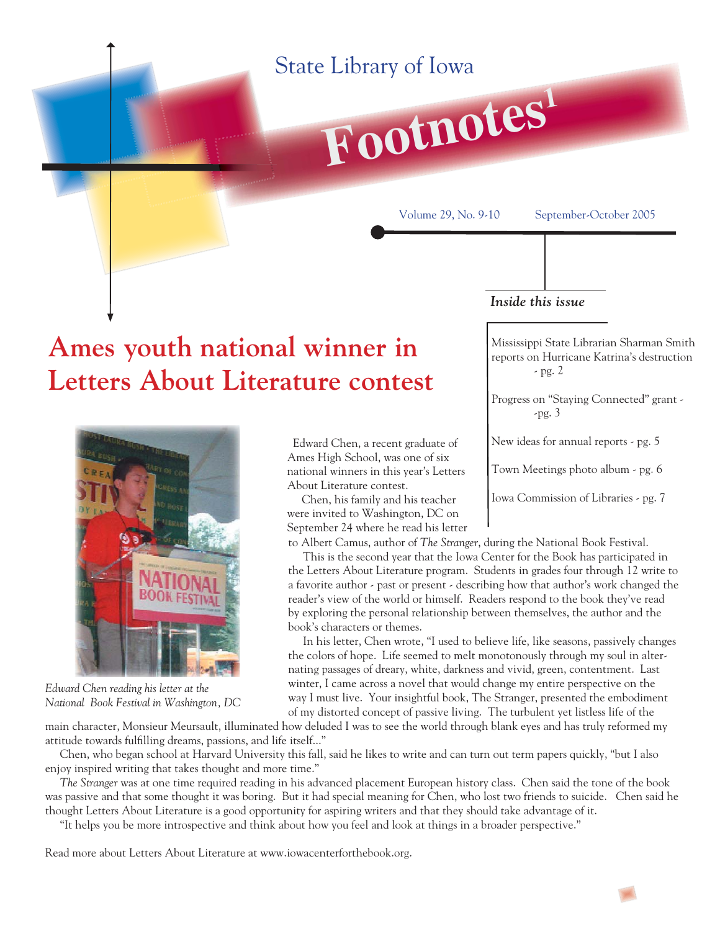### State Library of Iowa



Volume 29, No. 9-10 September-October 2005

#### *Inside this issue*

Mississippi State Librarian Sharman Smith reports on Hurricane Katrina's destruction - pg. 2

Progress on "Staying Connected" grant - -pg. 3

New ideas for annual reports - pg. 5

Town Meetings photo album - pg. 6

Iowa Commission of Libraries - pg. 7

## **Ames youth national winner in Letters About Literature contest**



*Edward Chen reading his letter at the National Book Festival in Washington, DC*

 Edward Chen, a recent graduate of Ames High School, was one of six national winners in this year's Letters About Literature contest.

 Chen, his family and his teacher were invited to Washington, DC on September 24 where he read his letter

to Albert Camus, author of *The Stranger*, during the National Book Festival.

 This is the second year that the Iowa Center for the Book has participated in the Letters About Literature program. Students in grades four through 12 write to a favorite author - past or present - describing how that author's work changed the reader's view of the world or himself. Readers respond to the book they've read by exploring the personal relationship between themselves, the author and the book's characters or themes.

 In his letter, Chen wrote, "I used to believe life, like seasons, passively changes the colors of hope. Life seemed to melt monotonously through my soul in alternating passages of dreary, white, darkness and vivid, green, contentment. Last winter, I came across a novel that would change my entire perspective on the way I must live. Your insightful book, The Stranger, presented the embodiment of my distorted concept of passive living. The turbulent yet listless life of the

main character, Monsieur Meursault, illuminated how deluded I was to see the world through blank eyes and has truly reformed my attitude towards fulfilling dreams, passions, and life itself..."

 Chen, who began school at Harvard University this fall, said he likes to write and can turn out term papers quickly, "but I also enjoy inspired writing that takes thought and more time."

 *The Stranger* was at one time required reading in his advanced placement European history class. Chen said the tone of the book was passive and that some thought it was boring. But it had special meaning for Chen, who lost two friends to suicide. Chen said he thought Letters About Literature is a good opportunity for aspiring writers and that they should take advantage of it.

"It helps you be more introspective and think about how you feel and look at things in a broader perspective."

Read more about Letters About Literature at www.iowacenterforthebook.org.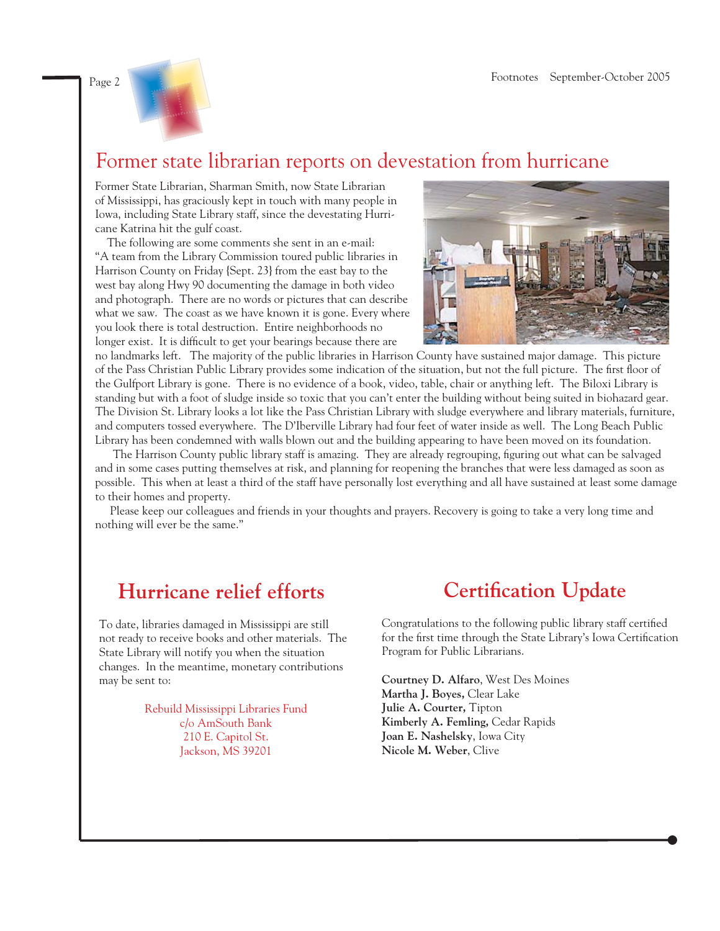

### Former state librarian reports on devestation from hurricane

Former State Librarian, Sharman Smith, now State Librarian of Mississippi, has graciously kept in touch with many people in Iowa, including State Library staff, since the devestating Hurricane Katrina hit the gulf coast.

 The following are some comments she sent in an e-mail: "A team from the Library Commission toured public libraries in Harrison County on Friday {Sept. 23} from the east bay to the west bay along Hwy 90 documenting the damage in both video and photograph. There are no words or pictures that can describe what we saw. The coast as we have known it is gone. Every where you look there is total destruction. Entire neighborhoods no longer exist. It is difficult to get your bearings because there are



no landmarks left. The majority of the public libraries in Harrison County have sustained major damage. This picture of the Pass Christian Public Library provides some indication of the situation, but not the full picture. The first floor of the Gulfport Library is gone. There is no evidence of a book, video, table, chair or anything left. The Biloxi Library is standing but with a foot of sludge inside so toxic that you can't enter the building without being suited in biohazard gear. The Division St. Library looks a lot like the Pass Christian Library with sludge everywhere and library materials, furniture, and computers tossed everywhere. The D'Iberville Library had four feet of water inside as well. The Long Beach Public Library has been condemned with walls blown out and the building appearing to have been moved on its foundation.

The Harrison County public library staff is amazing. They are already regrouping, figuring out what can be salvaged and in some cases putting themselves at risk, and planning for reopening the branches that were less damaged as soon as possible. This when at least a third of the staff have personally lost everything and all have sustained at least some damage to their homes and property.

 Please keep our colleagues and friends in your thoughts and prayers. Recovery is going to take a very long time and nothing will ever be the same."

### **Hurricane relief efforts**

To date, libraries damaged in Mississippi are still not ready to receive books and other materials. The State Library will notify you when the situation changes. In the meantime, monetary contributions may be sent to:

> Rebuild Mississippi Libraries Fund c/o AmSouth Bank 210 E. Capitol St. Jackson, MS 39201

### **Certification Update**

Congratulations to the following public library staff certified for the first time through the State Library's Iowa Certification Program for Public Librarians.

**Courtney D. Alfaro**, West Des Moines **Martha J. Boyes,** Clear Lake **Julie A. Courter,** Tipton **Kimberly A. Femling,** Cedar Rapids **Joan E. Nashelsky**, Iowa City **Nicole M. Weber**, Clive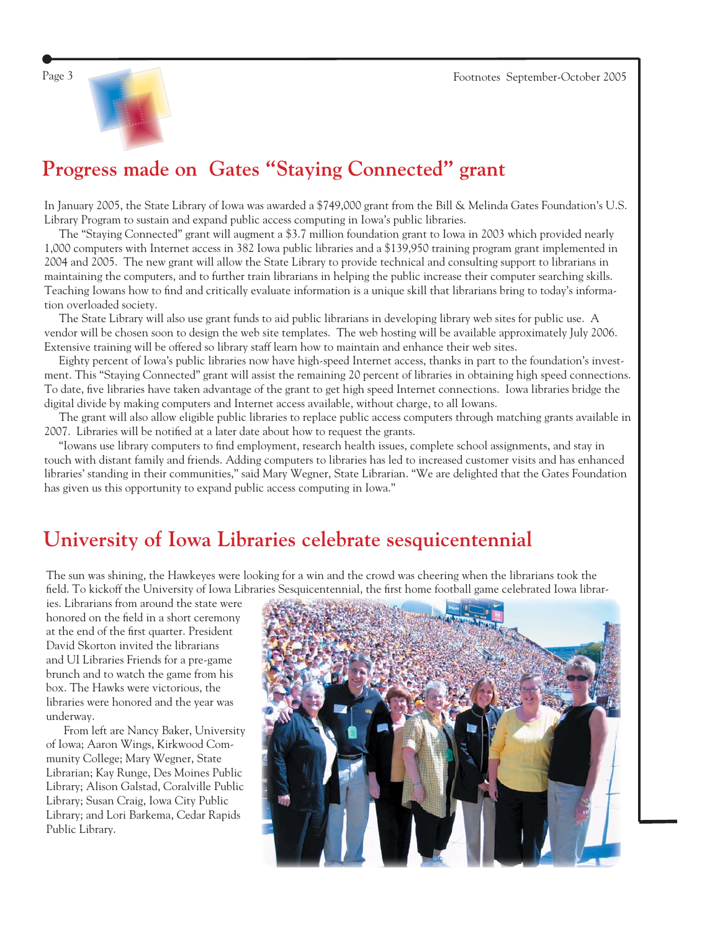



### **Progress made on Gates "Staying Connected" grant**

In January 2005, the State Library of Iowa was awarded a \$749,000 grant from the Bill & Melinda Gates Foundation's U.S. Library Program to sustain and expand public access computing in Iowa's public libraries.

 The "Staying Connected" grant will augment a \$3.7 million foundation grant to Iowa in 2003 which provided nearly 1,000 computers with Internet access in 382 Iowa public libraries and a \$139,950 training program grant implemented in 2004 and 2005. The new grant will allow the State Library to provide technical and consulting support to librarians in maintaining the computers, and to further train librarians in helping the public increase their computer searching skills. Teaching Iowans how to find and critically evaluate information is a unique skill that librarians bring to today's information overloaded society.

 The State Library will also use grant funds to aid public librarians in developing library web sites for public use. A vendor will be chosen soon to design the web site templates. The web hosting will be available approximately July 2006. Extensive training will be offered so library staff learn how to maintain and enhance their web sites.

 Eighty percent of Iowa's public libraries now have high-speed Internet access, thanks in part to the foundation's investment. This "Staying Connected" grant will assist the remaining 20 percent of libraries in obtaining high speed connections. To date, five libraries have taken advantage of the grant to get high speed Internet connections. Iowa libraries bridge the digital divide by making computers and Internet access available, without charge, to all Iowans.

 The grant will also allow eligible public libraries to replace public access computers through matching grants available in 2007. Libraries will be notified at a later date about how to request the grants.

"Iowans use library computers to find employment, research health issues, complete school assignments, and stay in touch with distant family and friends. Adding computers to libraries has led to increased customer visits and has enhanced libraries' standing in their communities," said Mary Wegner, State Librarian. "We are delighted that the Gates Foundation has given us this opportunity to expand public access computing in Iowa."

### **University of Iowa Libraries celebrate sesquicentennial**

The sun was shining, the Hawkeyes were looking for a win and the crowd was cheering when the librarians took the field. To kickoff the University of Iowa Libraries Sesquicentennial, the first home football game celebrated Iowa librar-

ies. Librarians from around the state were honored on the field in a short ceremony at the end of the first quarter. President David Skorton invited the librarians and UI Libraries Friends for a pre-game brunch and to watch the game from his box. The Hawks were victorious, the libraries were honored and the year was underway.

 From left are Nancy Baker, University of Iowa; Aaron Wings, Kirkwood Community College; Mary Wegner, State Librarian; Kay Runge, Des Moines Public Library; Alison Galstad, Coralville Public Library; Susan Craig, Iowa City Public Library; and Lori Barkema, Cedar Rapids Public Library.

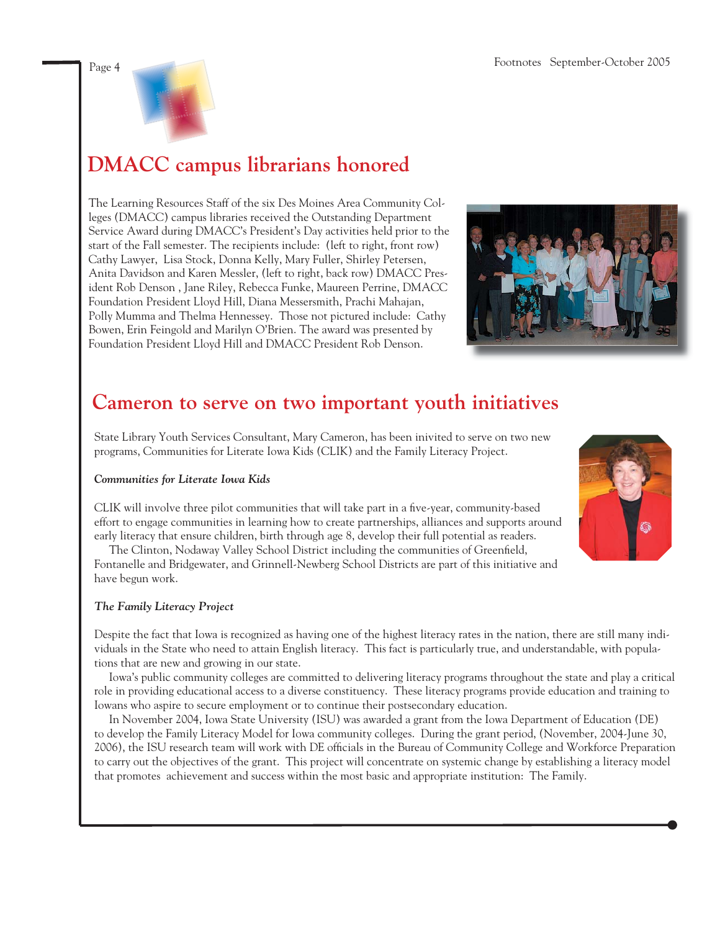

## **DMACC campus librarians honored**

The Learning Resources Staff of the six Des Moines Area Community Colleges (DMACC) campus libraries received the Outstanding Department Service Award during DMACC's President's Day activities held prior to the start of the Fall semester. The recipients include: (left to right, front row) Cathy Lawyer, Lisa Stock, Donna Kelly, Mary Fuller, Shirley Petersen, Anita Davidson and Karen Messler, (left to right, back row) DMACC President Rob Denson , Jane Riley, Rebecca Funke, Maureen Perrine, DMACC Foundation President Lloyd Hill, Diana Messersmith, Prachi Mahajan, Polly Mumma and Thelma Hennessey. Those not pictured include: Cathy Bowen, Erin Feingold and Marilyn O'Brien. The award was presented by Foundation President Lloyd Hill and DMACC President Rob Denson.



### **Cameron to serve on two important youth initiatives**

State Library Youth Services Consultant, Mary Cameron, has been inivited to serve on two new programs, Communities for Literate Iowa Kids (CLIK) and the Family Literacy Project.

#### *Communities for Literate Iowa Kids*

CLIK will involve three pilot communities that will take part in a five-year, community-based effort to engage communities in learning how to create partnerships, alliances and supports around early literacy that ensure children, birth through age 8, develop their full potential as readers.

The Clinton, Nodaway Valley School District including the communities of Greenfield, Fontanelle and Bridgewater, and Grinnell-Newberg School Districts are part of this initiative and have begun work.

#### *The Family Literacy Project*

Despite the fact that Iowa is recognized as having one of the highest literacy rates in the nation, there are still many individuals in the State who need to attain English literacy. This fact is particularly true, and understandable, with populations that are new and growing in our state.

 Iowa's public community colleges are committed to delivering literacy programs throughout the state and play a critical role in providing educational access to a diverse constituency. These literacy programs provide education and training to Iowans who aspire to secure employment or to continue their postsecondary education.

 In November 2004, Iowa State University (ISU) was awarded a grant from the Iowa Department of Education (DE) to develop the Family Literacy Model for Iowa community colleges. During the grant period, (November, 2004-June 30, 2006), the ISU research team will work with DE officials in the Bureau of Community College and Workforce Preparation to carry out the objectives of the grant. This project will concentrate on systemic change by establishing a literacy model that promotes achievement and success within the most basic and appropriate institution: The Family.

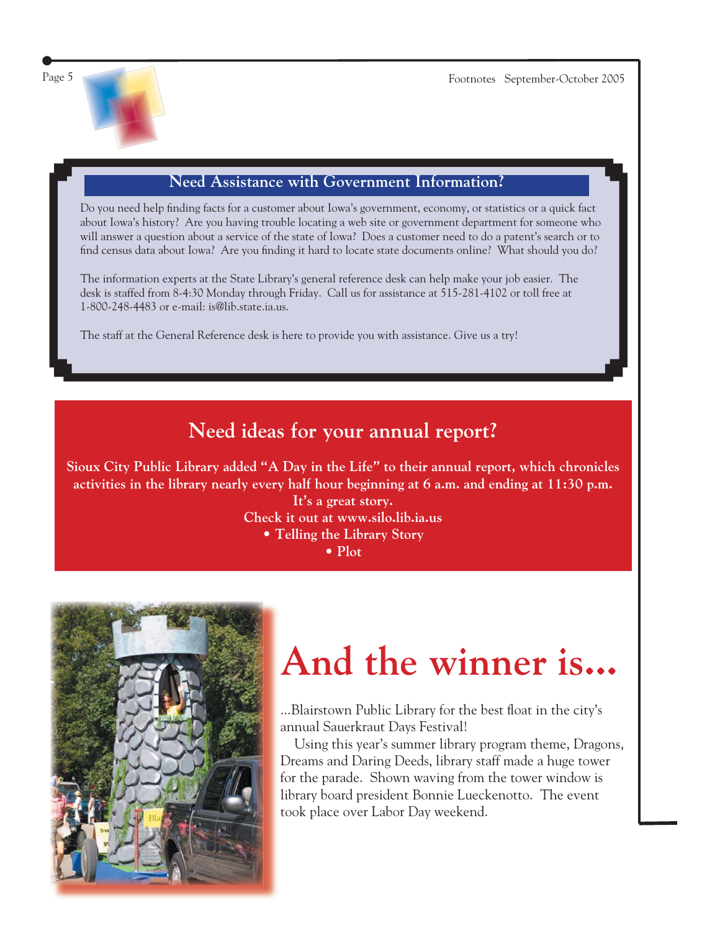

### **Need Assistance with Government Information?**

Do you need help finding facts for a customer about Iowa's government, economy, or statistics or a quick fact about Iowa's history? Are you having trouble locating a web site or government department for someone who will answer a question about a service of the state of Iowa? Does a customer need to do a patent's search or to find census data about Iowa? Are you finding it hard to locate state documents online? What should you do?

The information experts at the State Library's general reference desk can help make your job easier. The desk is staffed from 8-4:30 Monday through Friday. Call us for assistance at 515-281-4102 or toll free at 1-800-248-4483 or e-mail: is@lib.state.ia.us.

The staff at the General Reference desk is here to provide you with assistance. Give us a try!

### **Need ideas for your annual report?**

**Sioux City Public Library added "A Day in the Life" to their annual report, which chronicles activities in the library nearly every half hour beginning at 6 a.m. and ending at 11:30 p.m.**

**It's a great story.**

**Check it out at www.silo.lib.ia.us**

**• Telling the Library Story**

**• Plot**



# **And the winner is...**

...Blairstown Public Library for the best float in the city's annual Sauerkraut Days Festival!

 Using this year's summer library program theme, Dragons, Dreams and Daring Deeds, library staff made a huge tower for the parade. Shown waving from the tower window is library board president Bonnie Lueckenotto. The event took place over Labor Day weekend.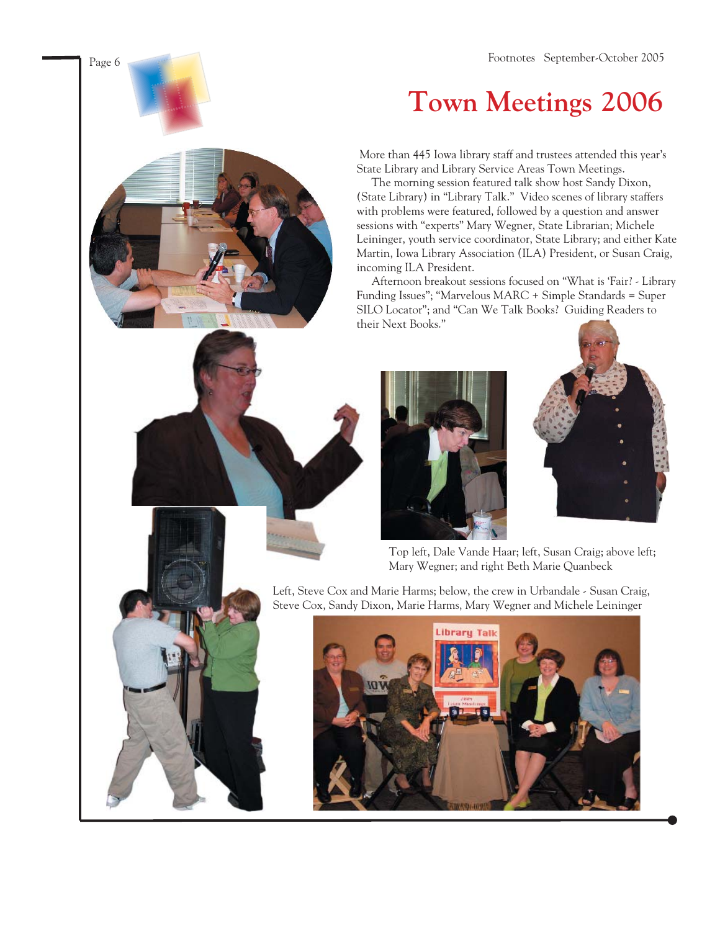Page 6 Footnotes September-October 2005

## **Town Meetings 2006**

 More than 445 Iowa library staff and trustees attended this year's State Library and Library Service Areas Town Meetings.

 The morning session featured talk show host Sandy Dixon, (State Library) in "Library Talk." Video scenes of library staffers with problems were featured, followed by a question and answer sessions with "experts" Mary Wegner, State Librarian; Michele Leininger, youth service coordinator, State Library; and either Kate Martin, Iowa Library Association (ILA) President, or Susan Craig, incoming ILA President.

 Afternoon breakout sessions focused on "What is 'Fair? - Library Funding Issues"; "Marvelous MARC + Simple Standards = Super SILO Locator"; and "Can We Talk Books? Guiding Readers to their Next Books."





Top left, Dale Vande Haar; left, Susan Craig; above left; Mary Wegner; and right Beth Marie Quanbeck

Left, Steve Cox and Marie Harms; below, the crew in Urbandale - Susan Craig, Steve Cox, Sandy Dixon, Marie Harms, Mary Wegner and Michele Leininger

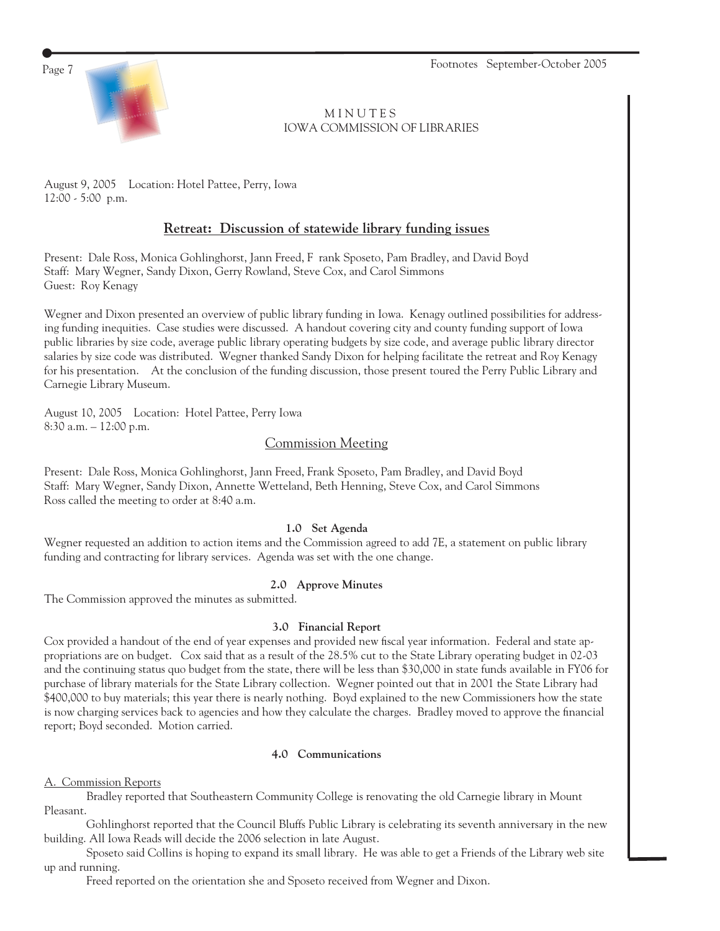Page 7 Footnotes September-October 2005



**MINUTES** IOWA COMMISSION OF LIBRARIES

August 9, 2005 Location: Hotel Pattee, Perry, Iowa 12:00 - 5:00 p.m.

#### **Retreat: Discussion of statewide library funding issues**

Present: Dale Ross, Monica Gohlinghorst, Jann Freed, F rank Sposeto, Pam Bradley, and David Boyd Staff: Mary Wegner, Sandy Dixon, Gerry Rowland, Steve Cox, and Carol Simmons Guest: Roy Kenagy

Wegner and Dixon presented an overview of public library funding in Iowa. Kenagy outlined possibilities for addressing funding inequities. Case studies were discussed. A handout covering city and county funding support of Iowa public libraries by size code, average public library operating budgets by size code, and average public library director salaries by size code was distributed. Wegner thanked Sandy Dixon for helping facilitate the retreat and Roy Kenagy for his presentation. At the conclusion of the funding discussion, those present toured the Perry Public Library and Carnegie Library Museum.

August 10, 2005 Location: Hotel Pattee, Perry Iowa 8:30 a.m. – 12:00 p.m.

#### Commission Meeting

Present: Dale Ross, Monica Gohlinghorst, Jann Freed, Frank Sposeto, Pam Bradley, and David Boyd Staff: Mary Wegner, Sandy Dixon, Annette Wetteland, Beth Henning, Steve Cox, and Carol Simmons Ross called the meeting to order at 8:40 a.m.

#### **1.0 Set Agenda**

Wegner requested an addition to action items and the Commission agreed to add 7E, a statement on public library funding and contracting for library services. Agenda was set with the one change.

#### **2.0 Approve Minutes**

The Commission approved the minutes as submitted.

#### **3.0 Financial Report**

Cox provided a handout of the end of year expenses and provided new fiscal year information. Federal and state appropriations are on budget. Cox said that as a result of the 28.5% cut to the State Library operating budget in 02-03 and the continuing status quo budget from the state, there will be less than \$30,000 in state funds available in FY06 for purchase of library materials for the State Library collection. Wegner pointed out that in 2001 the State Library had \$400,000 to buy materials; this year there is nearly nothing. Boyd explained to the new Commissioners how the state is now charging services back to agencies and how they calculate the charges. Bradley moved to approve the financial report; Boyd seconded. Motion carried.

#### **4.0 Communications**

#### A. Commission Reports

 Bradley reported that Southeastern Community College is renovating the old Carnegie library in Mount Pleasant.

 Gohlinghorst reported that the Council Bluffs Public Library is celebrating its seventh anniversary in the new building. All Iowa Reads will decide the 2006 selection in late August.

 Sposeto said Collins is hoping to expand its small library. He was able to get a Friends of the Library web site up and running.

Freed reported on the orientation she and Sposeto received from Wegner and Dixon.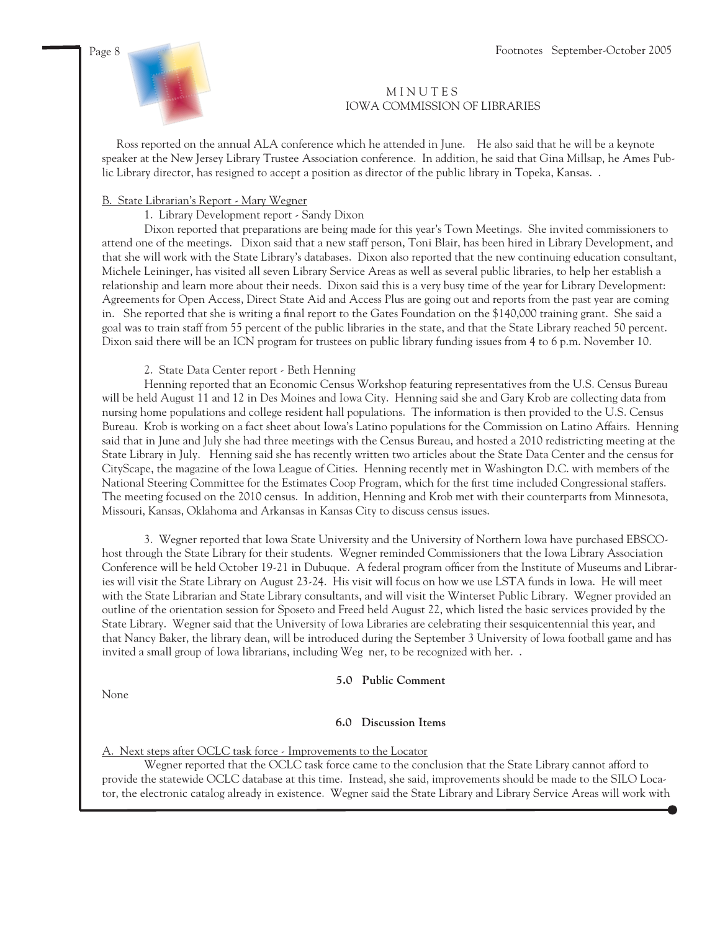

#### **MINUTES** IOWA COMMISSION OF LIBRARIES

 Ross reported on the annual ALA conference which he attended in June. He also said that he will be a keynote speaker at the New Jersey Library Trustee Association conference. In addition, he said that Gina Millsap, he Ames Public Library director, has resigned to accept a position as director of the public library in Topeka, Kansas. .

#### B. State Librarian's Report - Mary Wegner

#### 1. Library Development report - Sandy Dixon

 Dixon reported that preparations are being made for this year's Town Meetings. She invited commissioners to attend one of the meetings. Dixon said that a new staff person, Toni Blair, has been hired in Library Development, and that she will work with the State Library's databases. Dixon also reported that the new continuing education consultant, Michele Leininger, has visited all seven Library Service Areas as well as several public libraries, to help her establish a relationship and learn more about their needs. Dixon said this is a very busy time of the year for Library Development: Agreements for Open Access, Direct State Aid and Access Plus are going out and reports from the past year are coming in. She reported that she is writing a final report to the Gates Foundation on the \$140,000 training grant. She said a goal was to train staff from 55 percent of the public libraries in the state, and that the State Library reached 50 percent. Dixon said there will be an ICN program for trustees on public library funding issues from 4 to 6 p.m. November 10.

#### 2. State Data Center report - Beth Henning

 Henning reported that an Economic Census Workshop featuring representatives from the U.S. Census Bureau will be held August 11 and 12 in Des Moines and Iowa City. Henning said she and Gary Krob are collecting data from nursing home populations and college resident hall populations. The information is then provided to the U.S. Census Bureau. Krob is working on a fact sheet about Iowa's Latino populations for the Commission on Latino Affairs. Henning said that in June and July she had three meetings with the Census Bureau, and hosted a 2010 redistricting meeting at the State Library in July. Henning said she has recently written two articles about the State Data Center and the census for CityScape, the magazine of the Iowa League of Cities. Henning recently met in Washington D.C. with members of the National Steering Committee for the Estimates Coop Program, which for the first time included Congressional staffers. The meeting focused on the 2010 census. In addition, Henning and Krob met with their counterparts from Minnesota, Missouri, Kansas, Oklahoma and Arkansas in Kansas City to discuss census issues.

 3. Wegner reported that Iowa State University and the University of Northern Iowa have purchased EBSCOhost through the State Library for their students. Wegner reminded Commissioners that the Iowa Library Association Conference will be held October 19-21 in Dubuque. A federal program officer from the Institute of Museums and Libraries will visit the State Library on August 23-24. His visit will focus on how we use LSTA funds in Iowa. He will meet with the State Librarian and State Library consultants, and will visit the Winterset Public Library. Wegner provided an outline of the orientation session for Sposeto and Freed held August 22, which listed the basic services provided by the State Library. Wegner said that the University of Iowa Libraries are celebrating their sesquicentennial this year, and that Nancy Baker, the library dean, will be introduced during the September 3 University of Iowa football game and has invited a small group of Iowa librarians, including Weg ner, to be recognized with her. .

**5.0 Public Comment**

None

#### **6.0 Discussion Items**

#### A. Next steps after OCLC task force - Improvements to the Locator

 Wegner reported that the OCLC task force came to the conclusion that the State Library cannot afford to provide the statewide OCLC database at this time. Instead, she said, improvements should be made to the SILO Locator, the electronic catalog already in existence. Wegner said the State Library and Library Service Areas will work with